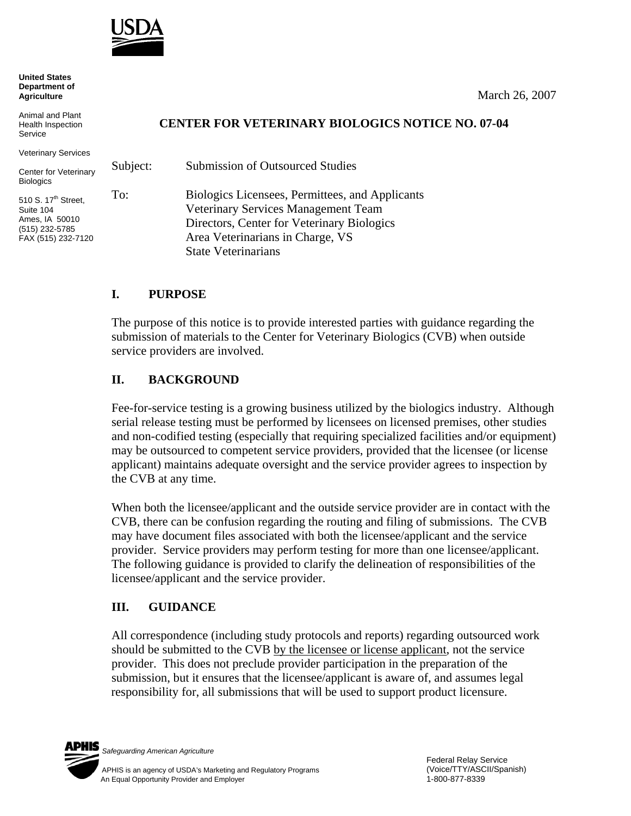

**United States Department of Agriculture**

Animal and Plant Health Inspection Service

Veterinary Services

Center for Veterinary Biologics

510 S. 17<sup>th</sup> Street. Suite 104 Ames, IA 50010 (515) 232-5785 FAX (515) 232-7120

#### March 26, 2007

### **CENTER FOR VETERINARY BIOLOGICS NOTICE NO. 07-04**

Subject: Submission of Outsourced Studies To: Biologics Licensees, Permittees, and Applicants Veterinary Services Management Team Directors, Center for Veterinary Biologics Area Veterinarians in Charge, VS State Veterinarians

# **I. PURPOSE**

The purpose of this notice is to provide interested parties with guidance regarding the submission of materials to the Center for Veterinary Biologics (CVB) when outside service providers are involved.

## **II. BACKGROUND**

Fee-for-service testing is a growing business utilized by the biologics industry. Although serial release testing must be performed by licensees on licensed premises, other studies and non-codified testing (especially that requiring specialized facilities and/or equipment) may be outsourced to competent service providers, provided that the licensee (or license applicant) maintains adequate oversight and the service provider agrees to inspection by the CVB at any time.

When both the licensee/applicant and the outside service provider are in contact with the CVB, there can be confusion regarding the routing and filing of submissions. The CVB may have document files associated with both the licensee/applicant and the service provider. Service providers may perform testing for more than one licensee/applicant. The following guidance is provided to clarify the delineation of responsibilities of the licensee/applicant and the service provider.

## **III. GUIDANCE**

All correspondence (including study protocols and reports) regarding outsourced work should be submitted to the CVB by the licensee or license applicant, not the service provider. This does not preclude provider participation in the preparation of the submission, but it ensures that the licensee/applicant is aware of, and assumes legal responsibility for, all submissions that will be used to support product licensure.

PHIS

*Safeguarding American Agriculture*